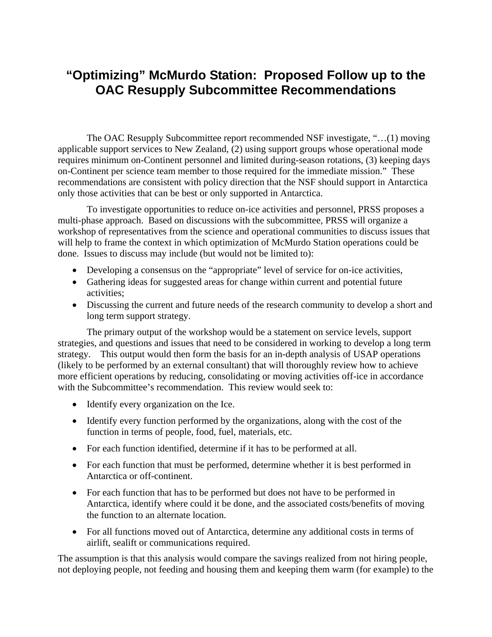## **"Optimizing" McMurdo Station: Proposed Follow up to the OAC Resupply Subcommittee Recommendations**

The OAC Resupply Subcommittee report recommended NSF investigate, "…(1) moving applicable support services to New Zealand, (2) using support groups whose operational mode requires minimum on-Continent personnel and limited during-season rotations, (3) keeping days on-Continent per science team member to those required for the immediate mission." These recommendations are consistent with policy direction that the NSF should support in Antarctica only those activities that can be best or only supported in Antarctica.

To investigate opportunities to reduce on-ice activities and personnel, PRSS proposes a multi-phase approach. Based on discussions with the subcommittee, PRSS will organize a workshop of representatives from the science and operational communities to discuss issues that will help to frame the context in which optimization of McMurdo Station operations could be done. Issues to discuss may include (but would not be limited to):

- Developing a consensus on the "appropriate" level of service for on-ice activities,
- Gathering ideas for suggested areas for change within current and potential future activities;
- Discussing the current and future needs of the research community to develop a short and long term support strategy.

The primary output of the workshop would be a statement on service levels, support strategies, and questions and issues that need to be considered in working to develop a long term strategy. This output would then form the basis for an in-depth analysis of USAP operations (likely to be performed by an external consultant) that will thoroughly review how to achieve more efficient operations by reducing, consolidating or moving activities off-ice in accordance with the Subcommittee's recommendation. This review would seek to:

- Identify every organization on the Ice.
- Identify every function performed by the organizations, along with the cost of the function in terms of people, food, fuel, materials, etc.
- For each function identified, determine if it has to be performed at all.
- For each function that must be performed, determine whether it is best performed in Antarctica or off-continent.
- For each function that has to be performed but does not have to be performed in Antarctica, identify where could it be done, and the associated costs/benefits of moving the function to an alternate location.
- For all functions moved out of Antarctica, determine any additional costs in terms of airlift, sealift or communications required.

The assumption is that this analysis would compare the savings realized from not hiring people, not deploying people, not feeding and housing them and keeping them warm (for example) to the